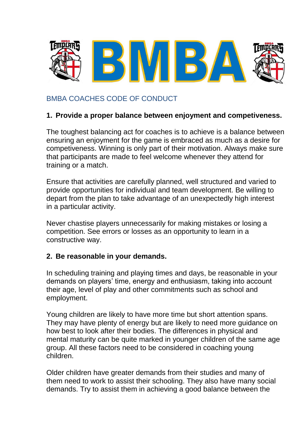

# BMBA COACHES CODE OF CONDUCT

#### **1. Provide a proper balance between enjoyment and competiveness.**

The toughest balancing act for coaches is to achieve is a balance between ensuring an enjoyment for the game is embraced as much as a desire for competiveness. Winning is only part of their motivation. Always make sure that participants are made to feel welcome whenever they attend for training or a match.

Ensure that activities are carefully planned, well structured and varied to provide opportunities for individual and team development. Be willing to depart from the plan to take advantage of an unexpectedly high interest in a particular activity.

Never chastise players unnecessarily for making mistakes or losing a competition. See errors or losses as an opportunity to learn in a constructive way.

#### **2. Be reasonable in your demands.**

In scheduling training and playing times and days, be reasonable in your demands on players' time, energy and enthusiasm, taking into account their age, level of play and other commitments such as school and employment.

Young children are likely to have more time but short attention spans. They may have plenty of energy but are likely to need more guidance on how best to look after their bodies. The differences in physical and mental maturity can be quite marked in younger children of the same age group. All these factors need to be considered in coaching young children.

Older children have greater demands from their studies and many of them need to work to assist their schooling. They also have many social demands. Try to assist them in achieving a good balance between the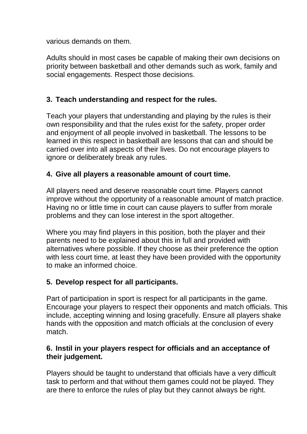various demands on them.

Adults should in most cases be capable of making their own decisions on priority between basketball and other demands such as work, family and social engagements. Respect those decisions.

# **3. Teach understanding and respect for the rules.**

Teach your players that understanding and playing by the rules is their own responsibility and that the rules exist for the safety, proper order and enjoyment of all people involved in basketball. The lessons to be learned in this respect in basketball are lessons that can and should be carried over into all aspects of their lives. Do not encourage players to ignore or deliberately break any rules.

#### **4. Give all players a reasonable amount of court time.**

All players need and deserve reasonable court time. Players cannot improve without the opportunity of a reasonable amount of match practice. Having no or little time in court can cause players to suffer from morale problems and they can lose interest in the sport altogether.

Where you may find players in this position, both the player and their parents need to be explained about this in full and provided with alternatives where possible. If they choose as their preference the option with less court time, at least they have been provided with the opportunity to make an informed choice.

## **5. Develop respect for all participants.**

Part of participation in sport is respect for all participants in the game. Encourage your players to respect their opponents and match officials. This include, accepting winning and losing gracefully. Ensure all players shake hands with the opposition and match officials at the conclusion of every match.

#### **6. Instil in your players respect for officials and an acceptance of their judgement.**

Players should be taught to understand that officials have a very difficult task to perform and that without them games could not be played. They are there to enforce the rules of play but they cannot always be right.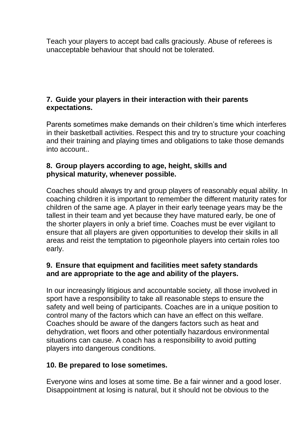Teach your players to accept bad calls graciously. Abuse of referees is unacceptable behaviour that should not be tolerated.

## **7. Guide your players in their interaction with their parents expectations.**

Parents sometimes make demands on their children's time which interferes in their basketball activities. Respect this and try to structure your coaching and their training and playing times and obligations to take those demands into account..

### **8. Group players according to age, height, skills and physical maturity, whenever possible.**

Coaches should always try and group players of reasonably equal ability. In coaching children it is important to remember the different maturity rates for children of the same age. A player in their early teenage years may be the tallest in their team and yet because they have matured early, be one of the shorter players in only a brief time. Coaches must be ever vigilant to ensure that all players are given opportunities to develop their skills in all areas and reist the temptation to pigeonhole players into certain roles too early.

## **9. Ensure that equipment and facilities meet safety standards and are appropriate to the age and ability of the players.**

In our increasingly litigious and accountable society, all those involved in sport have a responsibility to take all reasonable steps to ensure the safety and well being of participants. Coaches are in a unique position to control many of the factors which can have an effect on this welfare. Coaches should be aware of the dangers factors such as heat and dehydration, wet floors and other potentially hazardous environmental situations can cause. A coach has a responsibility to avoid putting players into dangerous conditions.

## **10. Be prepared to lose sometimes.**

Everyone wins and loses at some time. Be a fair winner and a good loser. Disappointment at losing is natural, but it should not be obvious to the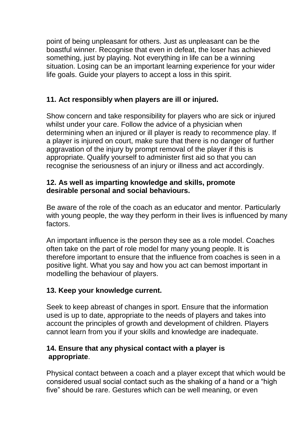point of being unpleasant for others. Just as unpleasant can be the boastful winner. Recognise that even in defeat, the loser has achieved something, just by playing. Not everything in life can be a winning situation. Losing can be an important learning experience for your wider life goals. Guide your players to accept a loss in this spirit.

# **11. Act responsibly when players are ill or injured.**

Show concern and take responsibility for players who are sick or injured whilst under your care. Follow the advice of a physician when determining when an injured or ill player is ready to recommence play. If a player is injured on court, make sure that there is no danger of further aggravation of the injury by prompt removal of the player if this is appropriate. Qualify yourself to administer first aid so that you can recognise the seriousness of an injury or illness and act accordingly.

#### **12. As well as imparting knowledge and skills, promote desirable personal and social behaviours.**

Be aware of the role of the coach as an educator and mentor. Particularly with young people, the way they perform in their lives is influenced by many factors.

An important influence is the person they see as a role model. Coaches often take on the part of role model for many young people. It is therefore important to ensure that the influence from coaches is seen in a positive light. What you say and how you act can bemost important in modelling the behaviour of players.

## **13. Keep your knowledge current.**

Seek to keep abreast of changes in sport. Ensure that the information used is up to date, appropriate to the needs of players and takes into account the principles of growth and development of children. Players cannot learn from you if your skills and knowledge are inadequate.

#### **14. Ensure that any physical contact with a player is appropriate**.

Physical contact between a coach and a player except that which would be considered usual social contact such as the shaking of a hand or a "high five" should be rare. Gestures which can be well meaning, or even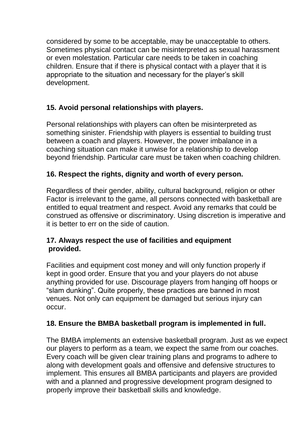considered by some to be acceptable, may be unacceptable to others. Sometimes physical contact can be misinterpreted as sexual harassment or even molestation. Particular care needs to be taken in coaching children. Ensure that if there is physical contact with a player that it is appropriate to the situation and necessary for the player's skill development.

# **15. Avoid personal relationships with players.**

Personal relationships with players can often be misinterpreted as something sinister. Friendship with players is essential to building trust between a coach and players. However, the power imbalance in a coaching situation can make it unwise for a relationship to develop beyond friendship. Particular care must be taken when coaching children.

## **16. Respect the rights, dignity and worth of every person.**

Regardless of their gender, ability, cultural background, religion or other Factor is irrelevant to the game, all persons connected with basketball are entitled to equal treatment and respect. Avoid any remarks that could be construed as offensive or discriminatory. Using discretion is imperative and it is better to err on the side of caution.

#### **17. Always respect the use of facilities and equipment provided.**

Facilities and equipment cost money and will only function properly if kept in good order. Ensure that you and your players do not abuse anything provided for use. Discourage players from hanging off hoops or "slam dunking". Quite properly, these practices are banned in most venues. Not only can equipment be damaged but serious injury can occur.

## **18. Ensure the BMBA basketball program is implemented in full.**

The BMBA implements an extensive basketball program. Just as we expect our players to perform as a team, we expect the same from our coaches. Every coach will be given clear training plans and programs to adhere to along with development goals and offensive and defensive structures to implement. This ensures all BMBA participants and players are provided with and a planned and progressive development program designed to properly improve their basketball skills and knowledge.